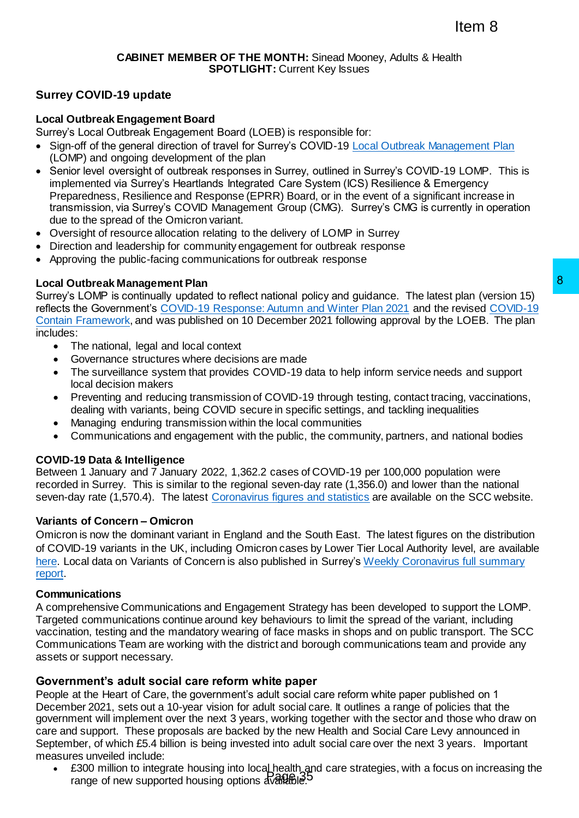# **Surrey COVID-19 update**

### **Local Outbreak Engagement Board**

Surrey's Local Outbreak Engagement Board (LOEB) is responsible for:

- Sign-off of the general direction of travel for Surrey's COVID-19 [Local Outbreak Management Plan](https://www.surreycc.gov.uk/people-and-community/emergency-planning-and-community-safety/coronavirus/local-outbreak-plan) (LOMP) and ongoing development of the plan
- Senior level oversight of outbreak responses in Surrey, outlined in Surrey's COVID-19 LOMP. This is implemented via Surrey's Heartlands Integrated Care System (ICS) Resilience & Emergency Preparedness, Resilience and Response (EPRR) Board, or in the event of a significant increase in transmission, via Surrey's COVID Management Group (CMG). Surrey's CMG is currently in operation due to the spread of the Omicron variant.
- Oversight of resource allocation relating to the delivery of LOMP in Surrey
- Direction and leadership for community engagement for outbreak response
- Approving the public-facing communications for outbreak response

### **Local Outbreak Management Plan**

Surrey's LOMP is continually updated to reflect national policy and guidance. The latest plan (version 15) reflects the Government's [COVID-19 Response: Autumn and Winter Plan 2021](https://www.gov.uk/government/publications/covid-19-response-autumn-and-winter-plan-2021) and the revise[d COVID-19](https://www.gov.uk/government/publications/containing-and-managing-local-coronavirus-covid-19-outbreaks/covid-19-contain-framework-a-guide-for-local-decision-makers)  [Contain Framework,](https://www.gov.uk/government/publications/containing-and-managing-local-coronavirus-covid-19-outbreaks/covid-19-contain-framework-a-guide-for-local-decision-makers) and was published on 10 December 2021 following approval by the LOEB. The plan includes:

- The national, legal and local context
- Governance structures where decisions are made
- The surveillance system that provides COVID-19 data to help inform service needs and support local decision makers
- Preventing and reducing transmission of COVID-19 through testing, contact tracing, vaccinations, dealing with variants, being COVID secure in specific settings, and tackling inequalities
- Managing enduring transmission within the local communities
- Communications and engagement with the public, the community, partners, and national bodies

## **COVID-19 Data & Intelligence**

Between 1 January and 7 January 2022, 1,362.2 cases of COVID-19 per 100,000 population were recorded in Surrey. This is similar to the regional seven-day rate (1,356.0) and lower than the national seven-day rate (1,570.4). The latest [Coronavirus figures and statistics](https://www.surreycc.gov.uk/people-and-community/emergency-planning-and-community-safety/coronavirus/local-outbreak) are available on the SCC website.

#### **Variants of Concern – Omicron**

Omicron is now the dominant variant in England and the South East. The latest figures on the distribution of COVID-19 variants in the UK, including Omicron cases by Lower Tier Local Authority level, are available [here.](https://www.gov.uk/government/publications/covid-19-variants-genomically-confirmed-case-numbers/variants-distribution-of-case-data-3-december-2021) Local data on Variants of Concern is also published in Surrey's [Weekly Coronavirus full summary](https://www.surreycc.gov.uk/people-and-community/emergency-planning-and-community-safety/coronavirus/local-outbreak-plan/figures-and-statistics/full-report)  [report.](https://www.surreycc.gov.uk/people-and-community/emergency-planning-and-community-safety/coronavirus/local-outbreak-plan/figures-and-statistics/full-report)

#### **Communications**

A comprehensive Communications and Engagement Strategy has been developed to support the LOMP. Targeted communications continue around key behaviours to limit the spread of the variant, including vaccination, testing and the mandatory wearing of face masks in shops and on public transport. The SCC Communications Team are working with the district and borough communications team and provide any assets or support necessary.

## **Government's adult social care reform white paper**

People at the Heart of Care, the government's adult social care reform white paper published on 1 December 2021, sets out a 10-year vision for adult social care. It outlines a range of policies that the government will implement over the next 3 years, working together with the sector and those who draw on care and support. These proposals are backed by the new Health and Social Care Levy announced in September, of which £5.4 billion is being invested into adult social care over the next 3 years. Important measures unveiled include:

£300 million to integrate housing into locaLhealth, and care strategies, with a focus on increasing the zood million to integrate housing like loogh available.<sup>35</sup>